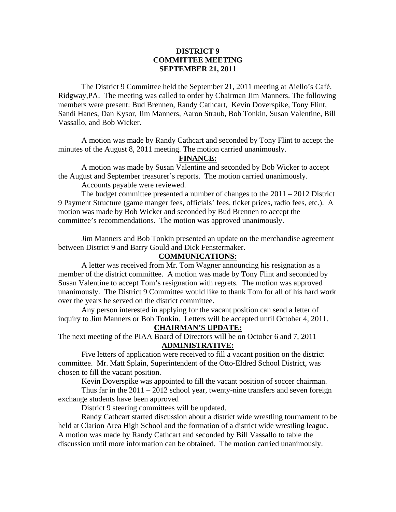#### **DISTRICT 9 COMMITTEE MEETING SEPTEMBER 21, 2011**

 The District 9 Committee held the September 21, 2011 meeting at Aiello's Café, Ridgway,PA. The meeting was called to order by Chairman Jim Manners. The following members were present: Bud Brennen, Randy Cathcart, Kevin Doverspike, Tony Flint, Sandi Hanes, Dan Kysor, Jim Manners, Aaron Straub, Bob Tonkin, Susan Valentine, Bill Vassallo, and Bob Wicker.

 A motion was made by Randy Cathcart and seconded by Tony Flint to accept the minutes of the August 8, 2011 meeting. The motion carried unanimously.

#### **FINANCE:**

A motion was made by Susan Valentine and seconded by Bob Wicker to accept the August and September treasurer's reports. The motion carried unanimously.

Accounts payable were reviewed.

 The budget committee presented a number of changes to the 2011 – 2012 District 9 Payment Structure (game manger fees, officials' fees, ticket prices, radio fees, etc.). A motion was made by Bob Wicker and seconded by Bud Brennen to accept the committee's recommendations. The motion was approved unanimously.

 Jim Manners and Bob Tonkin presented an update on the merchandise agreement between District 9 and Barry Gould and Dick Fenstermaker.

#### **COMMUNICATIONS:**

 A letter was received from Mr. Tom Wagner announcing his resignation as a member of the district committee. A motion was made by Tony Flint and seconded by Susan Valentine to accept Tom's resignation with regrets. The motion was approved unanimously. The District 9 Committee would like to thank Tom for all of his hard work over the years he served on the district committee.

 Any person interested in applying for the vacant position can send a letter of inquiry to Jim Manners or Bob Tonkin. Letters will be accepted until October 4, 2011.

# **CHAIRMAN'S UPDATE:**

The next meeting of the PIAA Board of Directors will be on October 6 and 7, 2011 **ADMINISTRATIVE:**

 Five letters of application were received to fill a vacant position on the district committee. Mr. Matt Splain, Superintendent of the Otto-Eldred School District, was chosen to fill the vacant position.

Kevin Doverspike was appointed to fill the vacant position of soccer chairman.

Thus far in the  $2011 - 2012$  school year, twenty-nine transfers and seven foreign exchange students have been approved

District 9 steering committees will be updated.

 Randy Cathcart started discussion about a district wide wrestling tournament to be held at Clarion Area High School and the formation of a district wide wrestling league. A motion was made by Randy Cathcart and seconded by Bill Vassallo to table the discussion until more information can be obtained. The motion carried unanimously.